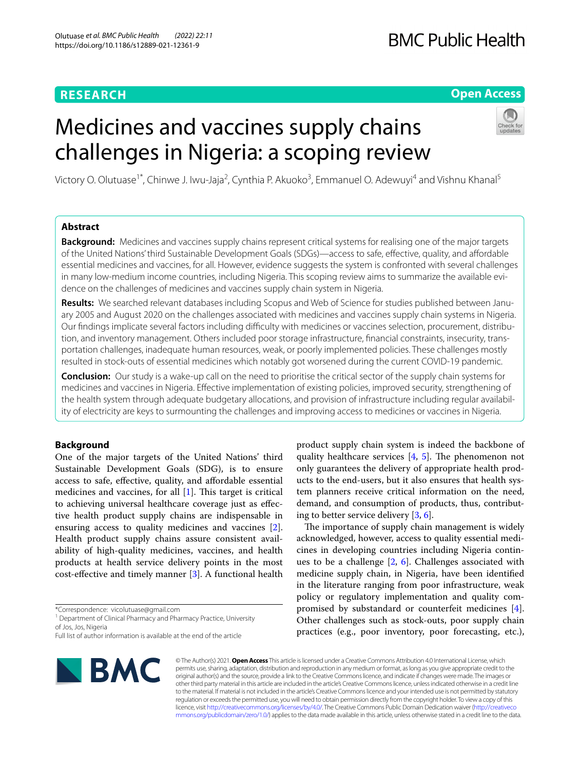# **RESEARCH**

# **Open Access**

# Medicines and vaccines supply chains challenges in Nigeria: a scoping review



Victory O. Olutuase<sup>1\*</sup>, Chinwe J. Iwu-Jaja<sup>2</sup>, Cynthia P. Akuoko<sup>3</sup>, Emmanuel O. Adewuyi<sup>4</sup> and Vishnu Khanal<sup>5</sup>

# **Abstract**

**Background:** Medicines and vaccines supply chains represent critical systems for realising one of the major targets of the United Nations' third Sustainable Development Goals (SDGs)—access to safe, efective, quality, and afordable essential medicines and vaccines, for all. However, evidence suggests the system is confronted with several challenges in many low-medium income countries, including Nigeria. This scoping review aims to summarize the available evidence on the challenges of medicines and vaccines supply chain system in Nigeria.

Results: We searched relevant databases including Scopus and Web of Science for studies published between January 2005 and August 2020 on the challenges associated with medicines and vaccines supply chain systems in Nigeria. Our findings implicate several factors including difficulty with medicines or vaccines selection, procurement, distribution, and inventory management. Others included poor storage infrastructure, financial constraints, insecurity, transportation challenges, inadequate human resources, weak, or poorly implemented policies. These challenges mostly resulted in stock-outs of essential medicines which notably got worsened during the current COVID-19 pandemic.

**Conclusion:** Our study is a wake-up call on the need to prioritise the critical sector of the supply chain systems for medicines and vaccines in Nigeria. Efective implementation of existing policies, improved security, strengthening of the health system through adequate budgetary allocations, and provision of infrastructure including regular availability of electricity are keys to surmounting the challenges and improving access to medicines or vaccines in Nigeria.

### **Background**

One of the major targets of the United Nations' third Sustainable Development Goals (SDG), is to ensure access to safe, efective, quality, and afordable essential medicines and vaccines, for all  $[1]$ . This target is critical to achieving universal healthcare coverage just as efective health product supply chains are indispensable in ensuring access to quality medicines and vaccines [\[2](#page-13-1)]. Health product supply chains assure consistent availability of high-quality medicines, vaccines, and health products at health service delivery points in the most cost-efective and timely manner [\[3](#page-13-2)]. A functional health

\*Correspondence: vicolutuase@gmail.com

<sup>1</sup> Department of Clinical Pharmacy and Pharmacy Practice, University of Jos, Jos, Nigeria

Full list of author information is available at the end of the article



product supply chain system is indeed the backbone of quality healthcare services  $[4, 5]$  $[4, 5]$  $[4, 5]$  $[4, 5]$ . The phenomenon not only guarantees the delivery of appropriate health products to the end-users, but it also ensures that health system planners receive critical information on the need, demand, and consumption of products, thus, contributing to better service delivery [[3,](#page-13-2) [6](#page-13-5)].

The importance of supply chain management is widely acknowledged, however, access to quality essential medicines in developing countries including Nigeria continues to be a challenge  $[2, 6]$  $[2, 6]$  $[2, 6]$ . Challenges associated with medicine supply chain, in Nigeria, have been identifed in the literature ranging from poor infrastructure, weak policy or regulatory implementation and quality compromised by substandard or counterfeit medicines [\[4](#page-13-3)]. Other challenges such as stock-outs, poor supply chain practices (e.g., poor inventory, poor forecasting, etc.),

© The Author(s) 2021. **Open Access** This article is licensed under a Creative Commons Attribution 4.0 International License, which permits use, sharing, adaptation, distribution and reproduction in any medium or format, as long as you give appropriate credit to the original author(s) and the source, provide a link to the Creative Commons licence, and indicate if changes were made. The images or other third party material in this article are included in the article's Creative Commons licence, unless indicated otherwise in a credit line to the material. If material is not included in the article's Creative Commons licence and your intended use is not permitted by statutory regulation or exceeds the permitted use, you will need to obtain permission directly from the copyright holder. To view a copy of this licence, visit [http://creativecommons.org/licenses/by/4.0/.](http://creativecommons.org/licenses/by/4.0/) The Creative Commons Public Domain Dedication waiver ([http://creativeco](http://creativecommons.org/publicdomain/zero/1.0/) [mmons.org/publicdomain/zero/1.0/](http://creativecommons.org/publicdomain/zero/1.0/)) applies to the data made available in this article, unless otherwise stated in a credit line to the data.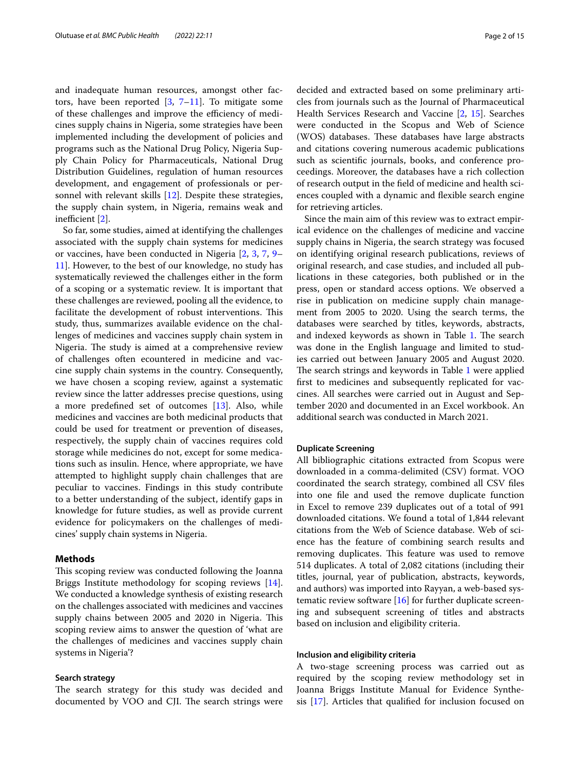and inadequate human resources, amongst other factors, have been reported  $[3, 7-11]$  $[3, 7-11]$  $[3, 7-11]$  $[3, 7-11]$ . To mitigate some of these challenges and improve the efficiency of medicines supply chains in Nigeria, some strategies have been implemented including the development of policies and programs such as the National Drug Policy, Nigeria Supply Chain Policy for Pharmaceuticals, National Drug Distribution Guidelines, regulation of human resources development, and engagement of professionals or personnel with relevant skills [[12](#page-13-8)]. Despite these strategies, the supply chain system, in Nigeria, remains weak and inefficient  $[2]$ .

So far, some studies, aimed at identifying the challenges associated with the supply chain systems for medicines or vaccines, have been conducted in Nigeria [\[2](#page-13-1), [3,](#page-13-2) [7](#page-13-6), [9–](#page-13-9) [11\]](#page-13-7). However, to the best of our knowledge, no study has systematically reviewed the challenges either in the form of a scoping or a systematic review. It is important that these challenges are reviewed, pooling all the evidence, to facilitate the development of robust interventions. This study, thus, summarizes available evidence on the challenges of medicines and vaccines supply chain system in Nigeria. The study is aimed at a comprehensive review of challenges often ecountered in medicine and vaccine supply chain systems in the country. Consequently, we have chosen a scoping review, against a systematic review since the latter addresses precise questions, using a more predefned set of outcomes [[13\]](#page-13-10). Also, while medicines and vaccines are both medicinal products that could be used for treatment or prevention of diseases, respectively, the supply chain of vaccines requires cold storage while medicines do not, except for some medications such as insulin. Hence, where appropriate, we have attempted to highlight supply chain challenges that are peculiar to vaccines. Findings in this study contribute to a better understanding of the subject, identify gaps in knowledge for future studies, as well as provide current evidence for policymakers on the challenges of medicines' supply chain systems in Nigeria.

#### **Methods**

This scoping review was conducted following the Joanna Briggs Institute methodology for scoping reviews [\[14](#page-14-0)]. We conducted a knowledge synthesis of existing research on the challenges associated with medicines and vaccines supply chains between 2005 and 2020 in Nigeria. This scoping review aims to answer the question of 'what are the challenges of medicines and vaccines supply chain systems in Nigeria'?

#### **Search strategy**

The search strategy for this study was decided and documented by VOO and CJI. The search strings were decided and extracted based on some preliminary articles from journals such as the Journal of Pharmaceutical Health Services Research and Vaccine [[2](#page-13-1), [15](#page-14-1)]. Searches were conducted in the Scopus and Web of Science (WOS) databases. These databases have large abstracts and citations covering numerous academic publications such as scientifc journals, books, and conference proceedings. Moreover, the databases have a rich collection of research output in the feld of medicine and health sciences coupled with a dynamic and fexible search engine for retrieving articles.

Since the main aim of this review was to extract empirical evidence on the challenges of medicine and vaccine supply chains in Nigeria, the search strategy was focused on identifying original research publications, reviews of original research, and case studies, and included all publications in these categories, both published or in the press, open or standard access options. We observed a rise in publication on medicine supply chain management from 2005 to 2020. Using the search terms, the databases were searched by titles, keywords, abstracts, and indexed keywords as shown in Table [1](#page-2-0). The search was done in the English language and limited to studies carried out between January 2005 and August 2020. The search strings and keywords in Table [1](#page-2-0) were applied frst to medicines and subsequently replicated for vaccines. All searches were carried out in August and September 2020 and documented in an Excel workbook. An additional search was conducted in March 2021.

#### **Duplicate Screening**

All bibliographic citations extracted from Scopus were downloaded in a comma-delimited (CSV) format. VOO coordinated the search strategy, combined all CSV fles into one fle and used the remove duplicate function in Excel to remove 239 duplicates out of a total of 991 downloaded citations. We found a total of 1,844 relevant citations from the Web of Science database. Web of science has the feature of combining search results and removing duplicates. This feature was used to remove 514 duplicates. A total of 2,082 citations (including their titles, journal, year of publication, abstracts, keywords, and authors) was imported into Rayyan, a web-based systematic review software [[16](#page-14-2)] for further duplicate screening and subsequent screening of titles and abstracts based on inclusion and eligibility criteria.

#### **Inclusion and eligibility criteria**

A two-stage screening process was carried out as required by the scoping review methodology set in Joanna Briggs Institute Manual for Evidence Synthesis [[17\]](#page-14-3). Articles that qualifed for inclusion focused on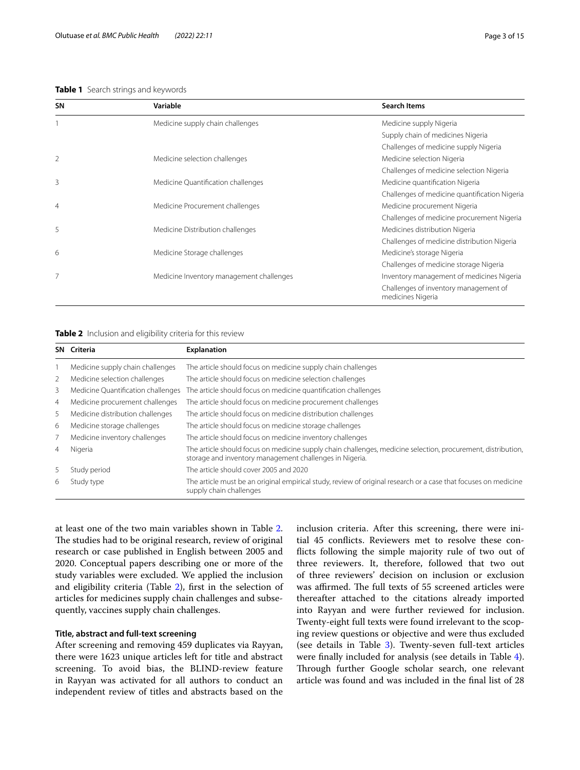#### <span id="page-2-0"></span>**Table 1** Search strings and keywords

| <b>SN</b>      | Variable                                 | <b>Search Items</b>                                        |
|----------------|------------------------------------------|------------------------------------------------------------|
|                | Medicine supply chain challenges         | Medicine supply Nigeria                                    |
|                |                                          | Supply chain of medicines Nigeria                          |
|                |                                          | Challenges of medicine supply Nigeria                      |
| 2              | Medicine selection challenges            | Medicine selection Nigeria                                 |
|                |                                          | Challenges of medicine selection Nigeria                   |
| 3              | Medicine Quantification challenges       | Medicine quantification Nigeria                            |
|                |                                          | Challenges of medicine quantification Nigeria              |
| $\overline{4}$ | Medicine Procurement challenges          | Medicine procurement Nigeria                               |
|                |                                          | Challenges of medicine procurement Nigeria                 |
| 5              | Medicine Distribution challenges         | Medicines distribution Nigeria                             |
|                |                                          | Challenges of medicine distribution Nigeria                |
| 6              | Medicine Storage challenges              | Medicine's storage Nigeria                                 |
|                |                                          | Challenges of medicine storage Nigeria                     |
| 7              | Medicine Inventory management challenges | Inventory management of medicines Nigeria                  |
|                |                                          | Challenges of inventory management of<br>medicines Nigeria |

<span id="page-2-1"></span>**Table 2** Inclusion and eligibility criteria for this review

| SN             | Criteria                           | <b>Explanation</b>                                                                                                                                                      |
|----------------|------------------------------------|-------------------------------------------------------------------------------------------------------------------------------------------------------------------------|
|                | Medicine supply chain challenges   | The article should focus on medicine supply chain challenges                                                                                                            |
| 2              | Medicine selection challenges      | The article should focus on medicine selection challenges                                                                                                               |
| 3              | Medicine Quantification challenges | The article should focus on medicine quantification challenges                                                                                                          |
| 4              | Medicine procurement challenges    | The article should focus on medicine procurement challenges                                                                                                             |
| 5              | Medicine distribution challenges   | The article should focus on medicine distribution challenges                                                                                                            |
| 6              | Medicine storage challenges        | The article should focus on medicine storage challenges                                                                                                                 |
|                | Medicine inventory challenges      | The article should focus on medicine inventory challenges                                                                                                               |
| $\overline{4}$ | Nigeria                            | The article should focus on medicine supply chain challenges, medicine selection, procurement, distribution,<br>storage and inventory management challenges in Nigeria. |
| 5              | Study period                       | The article should cover 2005 and 2020                                                                                                                                  |
| 6              | Study type                         | The article must be an original empirical study, review of original research or a case that focuses on medicine<br>supply chain challenges                              |

at least one of the two main variables shown in Table [2](#page-2-1). The studies had to be original research, review of original research or case published in English between 2005 and 2020. Conceptual papers describing one or more of the study variables were excluded. We applied the inclusion and eligibility criteria (Table [2\)](#page-2-1), first in the selection of articles for medicines supply chain challenges and subsequently, vaccines supply chain challenges.

#### **Title, abstract and full‑text screening**

After screening and removing 459 duplicates via Rayyan, there were 1623 unique articles left for title and abstract screening. To avoid bias, the BLIND-review feature in Rayyan was activated for all authors to conduct an independent review of titles and abstracts based on the inclusion criteria. After this screening, there were initial 45 conficts. Reviewers met to resolve these conficts following the simple majority rule of two out of three reviewers. It, therefore, followed that two out of three reviewers' decision on inclusion or exclusion was affirmed. The full texts of 55 screened articles were thereafter attached to the citations already imported into Rayyan and were further reviewed for inclusion. Twenty-eight full texts were found irrelevant to the scoping review questions or objective and were thus excluded (see details in Table [3](#page-3-0)). Twenty-seven full-text articles were fnally included for analysis (see details in Table [4](#page-5-0)). Through further Google scholar search, one relevant article was found and was included in the fnal list of 28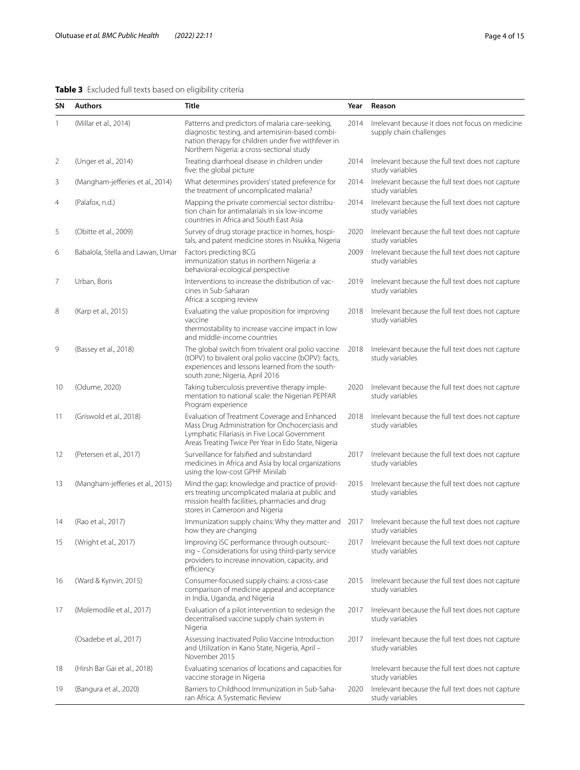# <span id="page-3-0"></span>**Table 3** Excluded full texts based on eligibility criteria

| SΝ             | <b>Authors</b>                   | <b>Title</b>                                                                                                                                                                                             | Year | Reason                                                                      |
|----------------|----------------------------------|----------------------------------------------------------------------------------------------------------------------------------------------------------------------------------------------------------|------|-----------------------------------------------------------------------------|
| 1              | (Millar et al., 2014)            | Patterns and predictors of malaria care-seeking,<br>diagnostic testing, and artemisinin-based combi-<br>nation therapy for children under five withfever in<br>Northern Nigeria: a cross-sectional study | 2014 | Irrelevant because it does not focus on medicine<br>supply chain challenges |
| $\overline{2}$ | (Unger et al., 2014)             | Treating diarrhoeal disease in children under<br>five: the global picture                                                                                                                                | 2014 | Irrelevant because the full text does not capture<br>study variables        |
| 3              | (Mangham-jefferies et al., 2014) | What determines providers' stated preference for<br>the treatment of uncomplicated malaria?                                                                                                              | 2014 | Irrelevant because the full text does not capture<br>study variables        |
| 4              | (Palafox, n.d.)                  | Mapping the private commercial sector distribu-<br>tion chain for antimalarials in six low-income<br>countries in Africa and South East Asia                                                             | 2014 | Irrelevant because the full text does not capture<br>study variables        |
| 5              | (Obitte et al., 2009)            | Survey of drug storage practice in homes, hospi-<br>tals, and patent medicine stores in Nsukka, Nigeria                                                                                                  | 2020 | Irrelevant because the full text does not capture<br>study variables        |
| 6              | Babalola, Stella and Lawan, Umar | Factors predicting BCG<br>immunization status in northern Nigeria: a<br>behavioral-ecological perspective                                                                                                | 2009 | Irrelevant because the full text does not capture<br>study variables        |
| 7              | Urban, Boris                     | Interventions to increase the distribution of vac-<br>cines in Sub-Saharan<br>Africa: a scoping review                                                                                                   | 2019 | Irrelevant because the full text does not capture<br>study variables        |
| 8              | (Karp et al., 2015)              | Evaluating the value proposition for improving<br>vaccine<br>thermostability to increase vaccine impact in low<br>and middle-income countries                                                            | 2018 | Irrelevant because the full text does not capture<br>study variables        |
| 9              | (Bassey et al., 2018)            | The global switch from trivalent oral polio vaccine<br>(tOPV) to bivalent oral polio vaccine (bOPV): facts,<br>experiences and lessons learned from the south-<br>south zone; Nigeria, April 2016        | 2018 | Irrelevant because the full text does not capture<br>study variables        |
| 10             | (Odume, 2020)                    | Taking tuberculosis preventive therapy imple-<br>mentation to national scale: the Nigerian PEPFAR<br>Program experience                                                                                  | 2020 | Irrelevant because the full text does not capture<br>study variables        |
| 11             | (Griswold et al., 2018)          | Evaluation of Treatment Coverage and Enhanced<br>Mass Drug Administration for Onchocerciasis and<br>Lymphatic Filariasis in Five Local Government<br>Areas Treating Twice Per Year in Edo State, Nigeria | 2018 | Irrelevant because the full text does not capture<br>study variables        |
| 12             | (Petersen et al., 2017)          | Surveillance for falsified and substandard<br>medicines in Africa and Asia by local organizations<br>using the low-cost GPHF Minilab                                                                     | 2017 | Irrelevant because the full text does not capture<br>study variables        |
| 13             | (Mangham-jefferies et al., 2015) | Mind the gap: knowledge and practice of provid-<br>ers treating uncomplicated malaria at public and<br>mission health facilities, pharmacies and drug<br>stores in Cameroon and Nigeria                  | 2015 | Irrelevant because the full text does not capture<br>study variables        |
| 14             | (Rao et al., 2017)               | Immunization supply chains: Why they matter and<br>how they are changing                                                                                                                                 | 2017 | Irrelevant because the full text does not capture<br>study variables        |
| 15             | (Wright et al., 2017)            | Improving iSC performance through outsourc-<br>ing - Considerations for using third-party service<br>providers to increase innovation, capacity, and<br>efficiency                                       | 2017 | Irrelevant because the full text does not capture<br>study variables        |
| 16             | (Ward & Kynvin, 2015)            | Consumer-focused supply chains: a cross-case<br>comparison of medicine appeal and acceptance<br>in India, Uganda, and Nigeria                                                                            | 2015 | Irrelevant because the full text does not capture<br>study variables        |
| 17             | (Molemodile et al., 2017)        | Evaluation of a pilot intervention to redesign the<br>decentralised vaccine supply chain system in<br>Nigeria                                                                                            | 2017 | Irrelevant because the full text does not capture<br>study variables        |
|                | (Osadebe et al., 2017)           | Assessing Inactivated Polio Vaccine Introduction<br>and Utilization in Kano State, Nigeria, April -<br>November 2015                                                                                     | 2017 | Irrelevant because the full text does not capture<br>study variables        |
| 18             | (Hirsh Bar Gai et al., 2018)     | Evaluating scenarios of locations and capacities for<br>vaccine storage in Nigeria                                                                                                                       |      | Irrelevant because the full text does not capture<br>study variables        |
| 19             | (Bangura et al., 2020)           | Barriers to Childhood Immunization in Sub-Saha-<br>ran Africa: A Systematic Review                                                                                                                       | 2020 | Irrelevant because the full text does not capture<br>study variables        |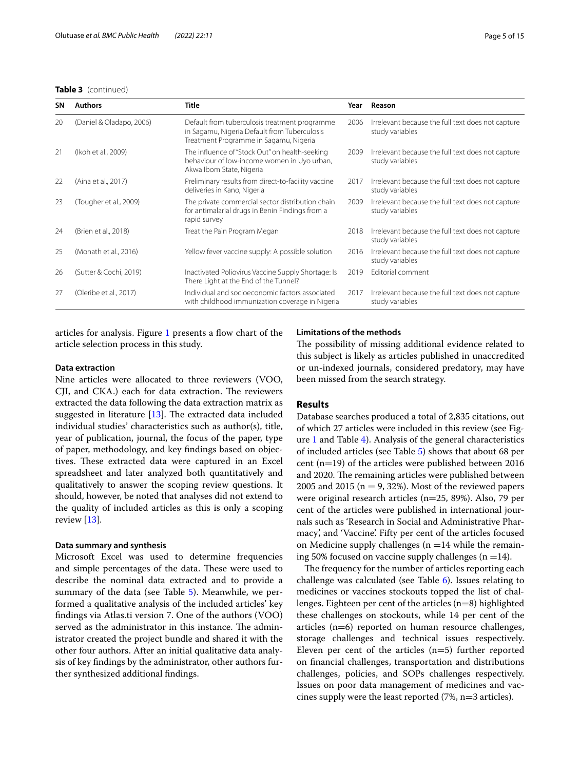#### **Table 3** (continued)

| SΝ | <b>Authors</b>           | <b>Title</b>                                                                                                                            | Year | Reason                                                               |
|----|--------------------------|-----------------------------------------------------------------------------------------------------------------------------------------|------|----------------------------------------------------------------------|
| 20 | (Daniel & Oladapo, 2006) | Default from tuberculosis treatment programme<br>in Sagamu, Nigeria Default from Tuberculosis<br>Treatment Programme in Sagamu, Nigeria | 2006 | Irrelevant because the full text does not capture<br>study variables |
| 21 | (Ikoh et al., 2009)      | The influence of "Stock Out" on health-seeking<br>behaviour of low-income women in Uyo urban,<br>Akwa Ibom State, Nigeria               | 2009 | Irrelevant because the full text does not capture<br>study variables |
| 22 | (Aina et al., 2017)      | Preliminary results from direct-to-facility vaccine<br>deliveries in Kano, Nigeria                                                      | 2017 | Irrelevant because the full text does not capture<br>study variables |
| 23 | (Tougher et al., 2009)   | The private commercial sector distribution chain<br>for antimalarial drugs in Benin Findings from a<br>rapid survey                     | 2009 | Irrelevant because the full text does not capture<br>study variables |
| 24 | (Brien et al., 2018)     | Treat the Pain Program Megan                                                                                                            | 2018 | Irrelevant because the full text does not capture<br>study variables |
| 25 | (Monath et al., 2016)    | Yellow fever vaccine supply: A possible solution                                                                                        | 2016 | Irrelevant because the full text does not capture<br>study variables |
| 26 | (Sutter & Cochi, 2019)   | Inactivated Poliovirus Vaccine Supply Shortage: Is<br>There Light at the End of the Tunnel?                                             | 2019 | Editorial comment                                                    |
| 27 | (Oleribe et al., 2017)   | Individual and socioeconomic factors associated<br>with childhood immunization coverage in Nigeria                                      | 2017 | Irrelevant because the full text does not capture<br>study variables |

articles for analysis. Figure [1](#page-8-0) presents a fow chart of the article selection process in this study.

#### **Limitations of the methods**

#### **Data extraction**

Nine articles were allocated to three reviewers (VOO, CJI, and CKA.) each for data extraction. The reviewers extracted the data following the data extraction matrix as suggested in literature  $[13]$  $[13]$ . The extracted data included individual studies' characteristics such as author(s), title, year of publication, journal, the focus of the paper, type of paper, methodology, and key fndings based on objectives. These extracted data were captured in an Excel spreadsheet and later analyzed both quantitatively and qualitatively to answer the scoping review questions. It should, however, be noted that analyses did not extend to the quality of included articles as this is only a scoping review [\[13](#page-13-10)].

#### **Data summary and synthesis**

Microsoft Excel was used to determine frequencies and simple percentages of the data. These were used to describe the nominal data extracted and to provide a summary of the data (see Table [5](#page-9-0)). Meanwhile, we performed a qualitative analysis of the included articles' key fndings via Atlas.ti version 7. One of the authors (VOO) served as the administrator in this instance. The administrator created the project bundle and shared it with the other four authors. After an initial qualitative data analysis of key fndings by the administrator, other authors further synthesized additional fndings.

The possibility of missing additional evidence related to this subject is likely as articles published in unaccredited or un-indexed journals, considered predatory, may have been missed from the search strategy.

#### **Results**

Database searches produced a total of 2,835 citations, out of which 27 articles were included in this review (see Figure [1](#page-8-0) and Table [4\)](#page-5-0). Analysis of the general characteristics of included articles (see Table [5](#page-9-0)) shows that about 68 per cent (n=19) of the articles were published between 2016 and 2020. The remaining articles were published between 2005 and 2015 ( $n = 9$ , 32%). Most of the reviewed papers were original research articles (n=25, 89%). Also, 79 per cent of the articles were published in international journals such as 'Research in Social and Administrative Pharmacy', and 'Vaccine'. Fifty per cent of the articles focused on Medicine supply challenges  $(n = 14)$  while the remaining 50% focused on vaccine supply challenges  $(n = 14)$ .

The frequency for the number of articles reporting each challenge was calculated (see Table [6](#page-9-1)). Issues relating to medicines or vaccines stockouts topped the list of challenges. Eighteen per cent of the articles (n=8) highlighted these challenges on stockouts, while 14 per cent of the articles (n=6) reported on human resource challenges, storage challenges and technical issues respectively. Eleven per cent of the articles  $(n=5)$  further reported on fnancial challenges, transportation and distributions challenges, policies, and SOPs challenges respectively. Issues on poor data management of medicines and vaccines supply were the least reported (7%, n=3 articles).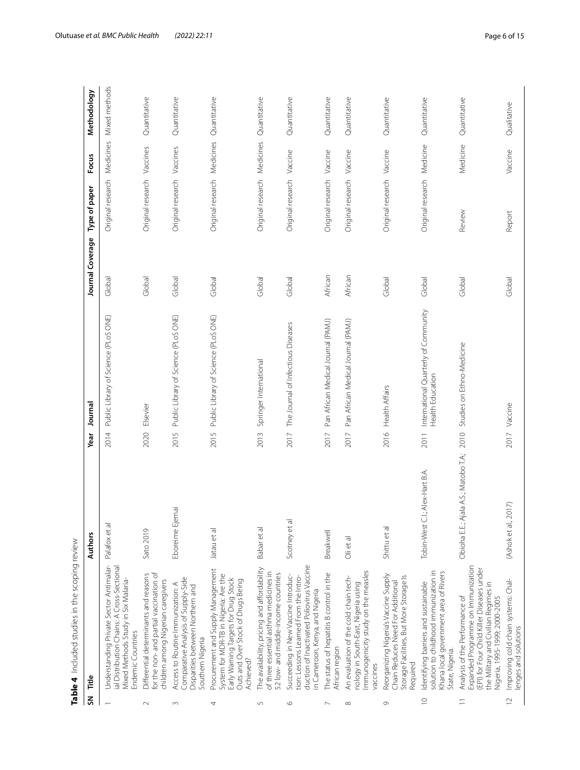|                | Table 4 Included studies in the scoping review                                                                                                                                              |                                         |                                                                  |                  |                             |           |               |
|----------------|---------------------------------------------------------------------------------------------------------------------------------------------------------------------------------------------|-----------------------------------------|------------------------------------------------------------------|------------------|-----------------------------|-----------|---------------|
| $\overline{5}$ | Title                                                                                                                                                                                       | Authors                                 | Journal<br>Year                                                  | Journal Coverage | Type of paper               | Focus     | Methodology   |
|                | Understanding Private Sector Antimalar-<br>ial Distribution Chains: A Cross-Sectional<br>Mixed Methods Study in Six Malaria-<br><b>Endemic Countries</b>                                    | Palafox et al                           | Public Library of Science (PLoS ONE)<br>2014                     | Global           | Original research           | Medicines | Mixed methods |
| $\sim$         | for the non- and partial vaccination of<br>Differential determinants and reasons<br>children among Nigerian caregivers                                                                      | Sato 2019                               | Elsevier<br>2020                                                 | Global           | Original research Vaccines  |           | Quantitative  |
| $\sim$         | Comparative Analysis of Supply-Side<br>Access to Routine Immunization: A<br>Disparities between Northern and<br>Southern Nigeria                                                            | Eboreime Ejemai                         | Public Library of Science (PLoS ONE)<br>2015                     | Global           | Original research           | Vaccines  | Quantitative  |
| 4              | Procurement and Supply Management<br>System for MDR-TB in Nigeria: Are the<br>Early Warning Targets for Drug Stock<br>Outs and Over Stock of Drugs Being<br>Achieved?                       | Jatau et al                             | Public Library of Science (PLoS ONE)<br>2015                     | Global           | Original research Medicines |           | Quantitative  |
| 5              | The availability, pricing and affordability<br>of three essential asthma medicines in<br>52 low- and middle-income countries                                                                | Babar et al                             | Springer International<br>2013                                   | Global           | Original research Medicines |           | Quantitative  |
| $\circ$        | duction of Inactivated Poliovirus Vaccine<br>Succeeding in New Vaccine Introduc-<br>tion: Lessons Learned From the Intro-<br>in Cameroon, Kenya, and Nigeria                                | Scotney et al                           | The Journal of Infectious Diseases<br>2017                       | Global           | Original research Vaccine   |           | Quantitative  |
| $\sim$         | The status of hepatitis B control in the<br>African region                                                                                                                                  | <b>Breakwell</b>                        | Pan African Medical Journal (PAMJ)<br>2017                       | African          | Original research Vaccine   |           | Quantitative  |
| ${}^{\infty}$  | Immunogenicity study on the measles<br>An evaluation of the cold chain tech-<br>nology in South-East, Nigeria using<br>vaccines                                                             | Olietal                                 | Pan African Medical Journal (PAMJ)<br>2017                       | African          | Original research           | Vaccine   | Quantitative  |
| $\circ$        | Reorganizing Nigeria's Vaccine Supply<br>Storage Facilities, But More Storage Is<br>Chain Reduces Need For Additional<br>Required                                                           | Shittu et al                            | <b>Health Affairs</b><br>2016                                    | Global           | Original research Vaccine   |           | Quantitative  |
| $\supseteq$    | solution to childhood immunization in<br>Khana local government area of Rivers<br>Identifying barriers and sustainable<br>State, Nigeria.                                                   | C.I.; Alex-Hart B.A.<br>Tobin-West      | International Quarterly of Community<br>Health Education<br>2011 | Global           | Original research Medicine  |           | Quantitative  |
| $\equiv$       | Expanded Programme on Immunization<br>(EPI) for Four Child Killer Diseases under<br>the Military and Civilian Regimes in<br>Analysis of the Performance of<br>Nigeria, 1995-1999; 2000-2005 | Ajala A.S.; Matobo T.A;<br>Obioha E.E.; | Studies on Ethno-Medicine<br>2010                                | Global           | Review                      | Medicine  | Quantitative  |
| $\supseteq$    | Improving cold chain systems: Chal-<br>lenges and solutions                                                                                                                                 | , 2017)<br>(Ashoket al.                 | 2017 Vaccine                                                     | Global           | Report                      | Vaccine   | Qualitative   |

<span id="page-5-0"></span>**4** Included studies in the scoping review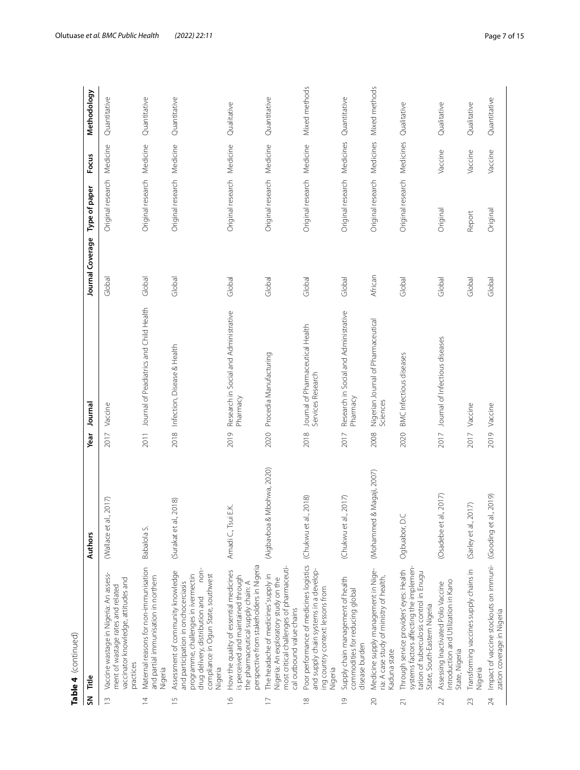|                         | Table 4 (continued)                                                                                                                                                                                          |                               |                                        |                                              |                  |                             |           |               |
|-------------------------|--------------------------------------------------------------------------------------------------------------------------------------------------------------------------------------------------------------|-------------------------------|----------------------------------------|----------------------------------------------|------------------|-----------------------------|-----------|---------------|
| $\overline{\mathsf{s}}$ | Title                                                                                                                                                                                                        | Authors                       | Journal<br>Year                        |                                              | Journal Coverage | Type of paper               | Focus     | Methodology   |
| $\frac{1}{2}$           | Vaccine wastage in Nigeria: An assess-<br>vaccinator knowledge, attitudes and<br>ment of wastage rates and related<br>practices                                                                              | al., 2017)<br>(Wallace et     | Vaccine<br>2017                        |                                              | Global           | Original research Medicine  |           | Quantitative  |
| $\overline{4}$          | Maternal reasons for non-immunisation<br>and partial immunisation in northern<br>Nigeria                                                                                                                     | Babalola S.                   |                                        | 2011 Journal of Peadiatrics and Child Health | Global           | Original research Medicine  |           | Quantitative  |
| $\frac{5}{1}$           | hor-<br>Assessment of community knowledge<br>compliance in Ogun State, southwest<br>programme, challenges in ivermectin<br>and participation in onchocerciasis<br>drug delivery, distribution and<br>Nigeria | al., 2018)<br>(Surakat et     | Infection, Disease & Health<br>2018    |                                              | Global           | Original research           | Medicine  | Quantitative  |
| $\frac{1}{2}$           | perspective from stakeholders in Nigeria<br>How the quality of essential medicines<br>is perceived and maintained through<br>the pharmaceutical supply chain: A                                              | Amadi C., Tsui E.K.           | Pharmacy<br>2019                       | Research in Social and Administrative        | Global           | Original research Medicine  |           | Qualitative   |
| $\overline{1}$          | most critical challenges of pharmaceuti-<br>The headache of medicines' supply in<br>Nigeria: An exploratory study on the<br>cal outbound value chains                                                        | & Mbohwa, 2020)<br>(Aigbavboa | Procedia Manufacturing<br>2020         |                                              | Global           | Original research Medicine  |           | Quantitative  |
| $\frac{8}{1}$           | Poor performance of medicines logistics<br>and supply chain systems in a develop-<br>ing country context: lessons from<br>Nigeria                                                                            | al., 2018)<br>(Chukwu et      | Services Research<br>2018              | Journal of Pharmaceutical Health             | Global           | Original research Medicine  |           | Mixed methods |
| $\overline{0}$          | Supply chain management of health<br>commodities for reducing global<br>disease burden                                                                                                                       | al., 2017)<br>(Chukwu et      | Pharmacy<br>2017                       | Research in Social and Administrative        | Global           | Original research Medicines |           | Quantitative  |
| 20                      | Medicine supply management in Nige-<br>ria: A case study of ministry of health,<br>Kaduna state                                                                                                              | (Mohammed & Magaji, 2007)     | Sciences<br>2008                       | Nigerian Journal of Pharmaceutical           | African          | Original research           | Medicines | Mixed methods |
| $\overline{21}$         | systems factors affecting the implemen-<br>Through service providers' eyes: Health<br>tation of tuberculosis control in Enugu<br>State, South-Eastern Nigeria                                                | Ogbuabor, D.C                 | BMC Infectious diseases<br>2020        |                                              | Global           | Original research           | Medicines | Qualitative   |
| 22                      | Introduction and Utilization in Kano<br>Assessing Inactivated Polio Vaccine<br>State, Nigeria                                                                                                                | (Osadebe et al., 2017)        | Journal of Infectious diseases<br>2017 |                                              | Global           | Original                    | Vaccine   | Qualitative   |
| 23                      | Transforming vaccines supply chains in<br>Nigeria                                                                                                                                                            | (Sarley et al., 2017)         | 2017 Vaccine                           |                                              | Global           | Report                      | Vaccine   | Qualitative   |
| 24                      | Impact of vaccine stockouts on immuni- (Gooding et al., 2019)<br>zation coverage in Nigeria                                                                                                                  |                               | 2019 Vaccine                           |                                              | Global           | Original                    | Vaccine   | Quantitative  |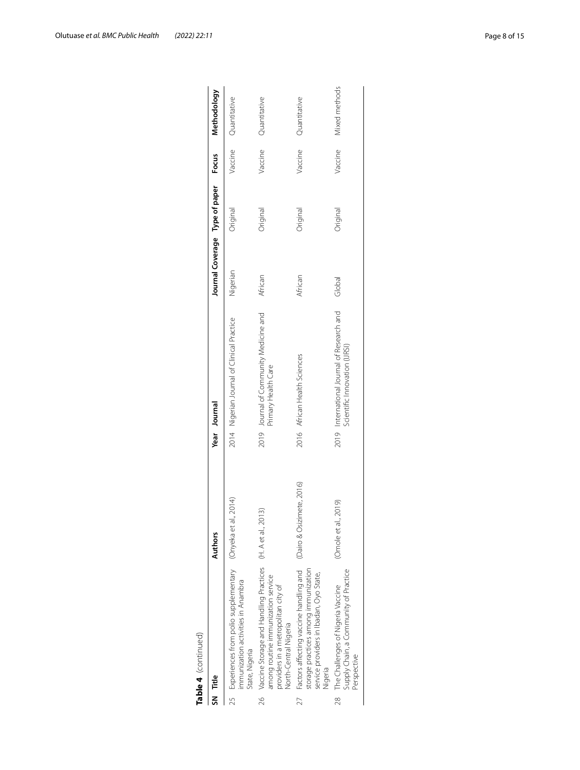| State, Nigeria<br>SN Title |                                                                                                                                                                     |                           |                                                                            |                                |                 |         |                      |
|----------------------------|---------------------------------------------------------------------------------------------------------------------------------------------------------------------|---------------------------|----------------------------------------------------------------------------|--------------------------------|-----------------|---------|----------------------|
|                            |                                                                                                                                                                     | Authors                   | Year Journal                                                               | Journal Coverage Type of paper |                 | Focus   | Methodology          |
|                            | 25 Experiences from polio supplementary<br>mmunization activities in Anambra                                                                                        | al., 2014)<br>(Onyeka et  | 2014 Nigerian Journal of Clinical Practice                                 | Nigerian                       | Original        |         | Vaccine Quantitative |
|                            | 26 Vaccine Storage and Handling Practices (H. A et al., 2013)<br>among routine immunization service<br>providers in a metropolitan city of<br>North-Central Nigeria |                           | 2019 Journal of Community Medicine and<br>Primary Health Care              | African                        | <b>Driginal</b> | Vaccine | Quantitative         |
| Viqeria                    | 27 Factors affecting vaccine handling and<br>torage practices among immunization<br>service providers in Ibadan, Oyo State,                                         | (Dairo & Osizimete, 2016) | 2016 African Health Sciences                                               | African                        | Original        | Vaccine | Quantitative         |
| Perspective                | Supply Chain, a Community of Practice<br>28 The Challenges of Nigeria Vaccine                                                                                       | (Omole et al., 2019)      | 2019 International Journal of Research and<br>Scientific Innovation (URSI) | Global                         | Original        | Vaccine | Mixed methods        |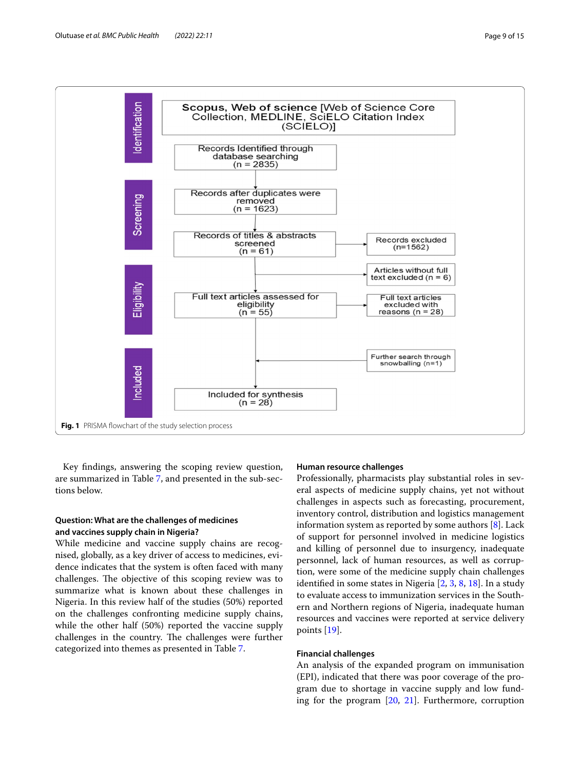

<span id="page-8-0"></span>Key fndings, answering the scoping review question, are summarized in Table [7](#page-10-0), and presented in the sub-sections below.

# **Question: What are the challenges of medicines and vaccines supply chain in Nigeria?**

While medicine and vaccine supply chains are recognised, globally, as a key driver of access to medicines, evidence indicates that the system is often faced with many challenges. The objective of this scoping review was to summarize what is known about these challenges in Nigeria. In this review half of the studies (50%) reported on the challenges confronting medicine supply chains, while the other half (50%) reported the vaccine supply challenges in the country. The challenges were further categorized into themes as presented in Table [7.](#page-10-0)

### **Human resource challenges**

Professionally, pharmacists play substantial roles in several aspects of medicine supply chains, yet not without challenges in aspects such as forecasting, procurement, inventory control, distribution and logistics management information system as reported by some authors [[8\]](#page-13-11). Lack of support for personnel involved in medicine logistics and killing of personnel due to insurgency, inadequate personnel, lack of human resources, as well as corruption, were some of the medicine supply chain challenges identifed in some states in Nigeria [\[2](#page-13-1), [3,](#page-13-2) [8](#page-13-11), [18\]](#page-14-4). In a study to evaluate access to immunization services in the Southern and Northern regions of Nigeria, inadequate human resources and vaccines were reported at service delivery points [[19\]](#page-14-5).

#### **Financial challenges**

An analysis of the expanded program on immunisation (EPI), indicated that there was poor coverage of the program due to shortage in vaccine supply and low funding for the program [[20,](#page-14-6) [21](#page-14-7)]. Furthermore, corruption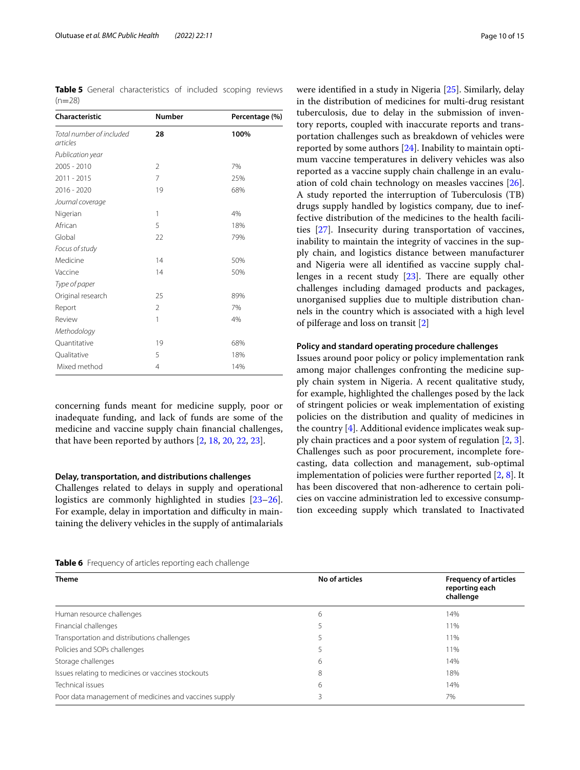<span id="page-9-0"></span>**Table 5** General characteristics of included scoping reviews  $(n=28)$ 

| <b>Characteristic</b>                | <b>Number</b>  | Percentage (%) |
|--------------------------------------|----------------|----------------|
| Total number of included<br>articles | 28             | 100%           |
| Publication year                     |                |                |
| 2005 - 2010                          | $\overline{2}$ | 7%             |
| 2011 - 2015                          | 7              | 25%            |
| 2016 - 2020                          | 19             | 68%            |
| Journal coverage                     |                |                |
| Nigerian                             | 1              | 4%             |
| African                              | 5              | 18%            |
| Global                               | 22             | 79%            |
| Focus of study                       |                |                |
| Medicine                             | 14             | 50%            |
| Vaccine                              | 14             | 50%            |
| Type of paper                        |                |                |
| Original research                    | 25             | 89%            |
| Report                               | $\overline{2}$ | 7%             |
| Review                               | 1              | 4%             |
| Methodology                          |                |                |
| Quantitative                         | 19             | 68%            |
| Qualitative                          | 5              | 18%            |
| Mixed method                         | $\overline{4}$ | 14%            |

concerning funds meant for medicine supply, poor or inadequate funding, and lack of funds are some of the medicine and vaccine supply chain fnancial challenges, that have been reported by authors [[2,](#page-13-1) [18](#page-14-4), [20](#page-14-6), [22,](#page-14-8) [23](#page-14-9)].

#### **Delay, transportation, and distributions challenges**

Challenges related to delays in supply and operational logistics are commonly highlighted in studies [[23](#page-14-9)[–26](#page-14-10)]. For example, delay in importation and difficulty in maintaining the delivery vehicles in the supply of antimalarials

were identifed in a study in Nigeria [[25](#page-14-11)]. Similarly, delay in the distribution of medicines for multi-drug resistant tuberculosis, due to delay in the submission of inventory reports, coupled with inaccurate reports and transportation challenges such as breakdown of vehicles were reported by some authors [\[24](#page-14-12)]. Inability to maintain optimum vaccine temperatures in delivery vehicles was also reported as a vaccine supply chain challenge in an evaluation of cold chain technology on measles vaccines [\[26](#page-14-10)]. A study reported the interruption of Tuberculosis (TB) drugs supply handled by logistics company, due to ineffective distribution of the medicines to the health facilities [[27\]](#page-14-13). Insecurity during transportation of vaccines, inability to maintain the integrity of vaccines in the supply chain, and logistics distance between manufacturer and Nigeria were all identifed as vaccine supply challenges in a recent study  $[23]$  $[23]$ . There are equally other challenges including damaged products and packages, unorganised supplies due to multiple distribution channels in the country which is associated with a high level of pilferage and loss on transit [[2\]](#page-13-1)

#### **Policy and standard operating procedure challenges**

Issues around poor policy or policy implementation rank among major challenges confronting the medicine supply chain system in Nigeria. A recent qualitative study, for example, highlighted the challenges posed by the lack of stringent policies or weak implementation of existing policies on the distribution and quality of medicines in the country  $[4]$  $[4]$ . Additional evidence implicates weak supply chain practices and a poor system of regulation [[2,](#page-13-1) [3](#page-13-2)]. Challenges such as poor procurement, incomplete forecasting, data collection and management, sub-optimal implementation of policies were further reported [\[2](#page-13-1), [8\]](#page-13-11). It has been discovered that non-adherence to certain policies on vaccine administration led to excessive consumption exceeding supply which translated to Inactivated

<span id="page-9-1"></span>**Table 6** Frequency of articles reporting each challenge

| <b>Theme</b>                                          | No of articles | <b>Frequency of articles</b><br>reporting each<br>challenge |
|-------------------------------------------------------|----------------|-------------------------------------------------------------|
| Human resource challenges                             | 6              | 14%                                                         |
| Financial challenges                                  |                | 11%                                                         |
| Transportation and distributions challenges           |                | 11%                                                         |
| Policies and SOPs challenges                          |                | 11%                                                         |
| Storage challenges                                    | 6              | 14%                                                         |
| Issues relating to medicines or vaccines stockouts    | 8              | 18%                                                         |
| Technical issues                                      | 6              | 14%                                                         |
| Poor data management of medicines and vaccines supply |                | 7%                                                          |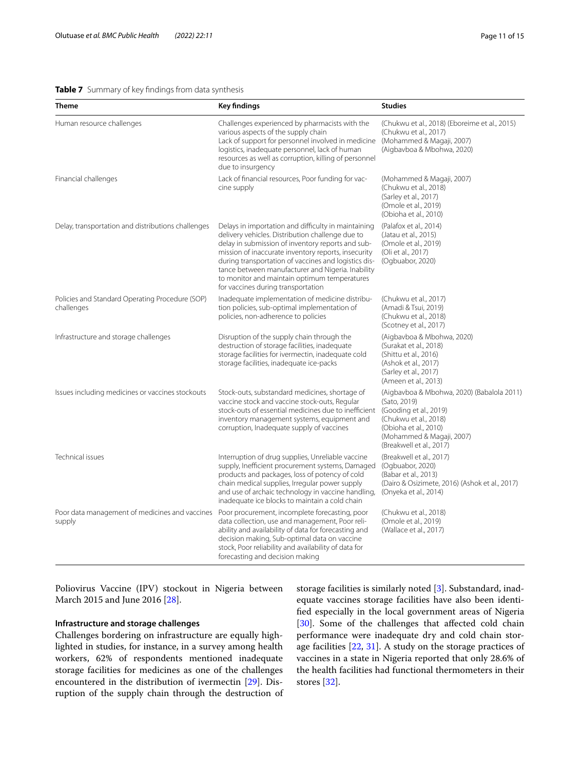#### <span id="page-10-0"></span>**Table 7** Summary of key findings from data synthesis

| Theme                                                         | <b>Key findings</b>                                                                                                                                                                                                                                                                                                                                                                                                    | <b>Studies</b>                                                                                                                                                                                  |
|---------------------------------------------------------------|------------------------------------------------------------------------------------------------------------------------------------------------------------------------------------------------------------------------------------------------------------------------------------------------------------------------------------------------------------------------------------------------------------------------|-------------------------------------------------------------------------------------------------------------------------------------------------------------------------------------------------|
| Human resource challenges                                     | Challenges experienced by pharmacists with the<br>various aspects of the supply chain<br>Lack of support for personnel involved in medicine<br>logistics, inadequate personnel, lack of human<br>resources as well as corruption, killing of personnel<br>due to insurgency                                                                                                                                            | (Chukwu et al., 2018) (Eboreime et al., 2015)<br>(Chukwu et al., 2017)<br>(Mohammed & Magaji, 2007)<br>(Aigbavboa & Mbohwa, 2020)                                                               |
| Financial challenges                                          | Lack of financial resources, Poor funding for vac-<br>cine supply                                                                                                                                                                                                                                                                                                                                                      | (Mohammed & Magaji, 2007)<br>(Chukwu et al., 2018)<br>(Sarley et al., 2017)<br>(Omole et al., 2019)<br>(Obioha et al., 2010)                                                                    |
| Delay, transportation and distributions challenges            | Delays in importation and difficulty in maintaining<br>delivery vehicles. Distribution challenge due to<br>delay in submission of inventory reports and sub-<br>mission of inaccurate inventory reports, insecurity<br>during transportation of vaccines and logistics dis-<br>tance between manufacturer and Nigeria. Inability<br>to monitor and maintain optimum temperatures<br>for vaccines during transportation | (Palafox et al., 2014)<br>(Jatau et al., 2015)<br>(Omole et al., 2019)<br>(Oli et al., 2017)<br>(Ogbuabor, 2020)                                                                                |
| Policies and Standard Operating Procedure (SOP)<br>challenges | Inadequate implementation of medicine distribu-<br>tion policies, sub-optimal implementation of<br>policies, non-adherence to policies                                                                                                                                                                                                                                                                                 | (Chukwu et al., 2017)<br>(Amadi & Tsui, 2019)<br>(Chukwu et al., 2018)<br>(Scotney et al., 2017)                                                                                                |
| Infrastructure and storage challenges                         | Disruption of the supply chain through the<br>destruction of storage facilities, inadequate<br>storage facilities for ivermectin, inadequate cold<br>storage facilities, inadequate ice-packs                                                                                                                                                                                                                          | (Aigbavboa & Mbohwa, 2020)<br>(Surakat et al., 2018)<br>(Shittu et al., 2016)<br>(Ashok et al., 2017)<br>(Sarley et al., 2017)<br>(Ameen et al., 2013)                                          |
| Issues including medicines or vaccines stockouts              | Stock-outs, substandard medicines, shortage of<br>vaccine stock and vaccine stock-outs, Regular<br>stock-outs of essential medicines due to inefficient<br>inventory management systems, equipment and<br>corruption, Inadequate supply of vaccines                                                                                                                                                                    | (Aigbavboa & Mbohwa, 2020) (Babalola 2011)<br>(Sato, 2019)<br>(Gooding et al., 2019)<br>(Chukwu et al., 2018)<br>(Obioha et al., 2010)<br>(Mohammed & Magaji, 2007)<br>(Breakwell et al., 2017) |
| Technical issues                                              | Interruption of drug supplies, Unreliable vaccine<br>supply, Inefficient procurement systems, Damaged<br>products and packages, loss of potency of cold<br>chain medical supplies, Irregular power supply<br>and use of archaic technology in vaccine handling,<br>inadequate ice blocks to maintain a cold chain                                                                                                      | (Breakwell et al., 2017)<br>(Ogbuabor, 2020)<br>(Babar et al., 2013)<br>(Dairo & Osizimete, 2016) (Ashok et al., 2017)<br>(Onyeka et al., 2014)                                                 |
| Poor data management of medicines and vaccines<br>supply      | Poor procurement, incomplete forecasting, poor<br>data collection, use and management, Poor reli-<br>ability and availability of data for forecasting and<br>decision making, Sub-optimal data on vaccine<br>stock, Poor reliability and availability of data for<br>forecasting and decision making                                                                                                                   | (Chukwu et al., 2018)<br>(Omole et al., 2019)<br>(Wallace et al., 2017)                                                                                                                         |

Poliovirus Vaccine (IPV) stockout in Nigeria between March 2015 and June 2016 [\[28](#page-14-14)].

### **Infrastructure and storage challenges**

Challenges bordering on infrastructure are equally highlighted in studies, for instance, in a survey among health workers, 62% of respondents mentioned inadequate storage facilities for medicines as one of the challenges encountered in the distribution of ivermectin [\[29](#page-14-15)]. Disruption of the supply chain through the destruction of storage facilities is similarly noted [[3](#page-13-2)]. Substandard, inadequate vaccines storage facilities have also been identifed especially in the local government areas of Nigeria [[30\]](#page-14-16). Some of the challenges that affected cold chain performance were inadequate dry and cold chain storage facilities [\[22](#page-14-8), [31](#page-14-17)]. A study on the storage practices of vaccines in a state in Nigeria reported that only 28.6% of the health facilities had functional thermometers in their stores [\[32](#page-14-18)].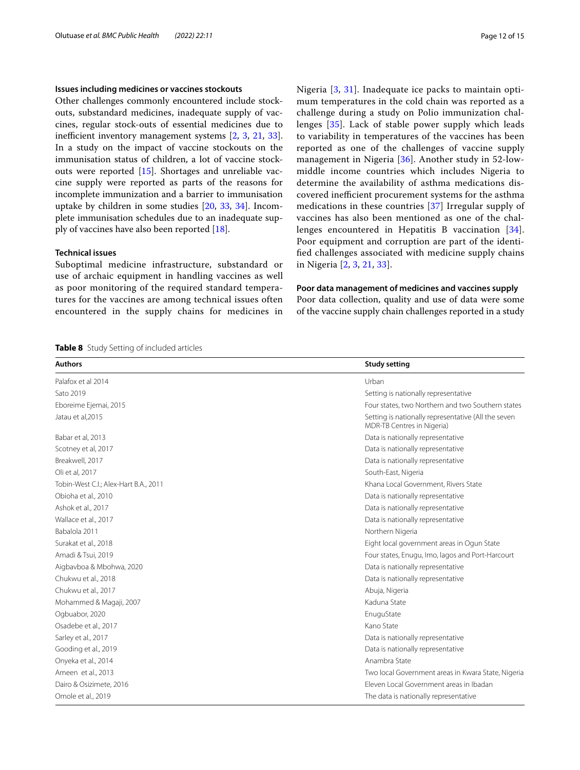#### **Issues including medicines or vaccines stockouts**

Other challenges commonly encountered include stockouts, substandard medicines, inadequate supply of vaccines, regular stock-outs of essential medicines due to inefficient inventory management systems  $[2, 3, 21, 33]$  $[2, 3, 21, 33]$  $[2, 3, 21, 33]$  $[2, 3, 21, 33]$  $[2, 3, 21, 33]$  $[2, 3, 21, 33]$  $[2, 3, 21, 33]$  $[2, 3, 21, 33]$  $[2, 3, 21, 33]$ . In a study on the impact of vaccine stockouts on the immunisation status of children, a lot of vaccine stockouts were reported [\[15](#page-14-1)]. Shortages and unreliable vaccine supply were reported as parts of the reasons for incomplete immunization and a barrier to immunisation uptake by children in some studies [\[20](#page-14-6), [33,](#page-14-19) [34\]](#page-14-20). Incomplete immunisation schedules due to an inadequate supply of vaccines have also been reported [\[18\]](#page-14-4).

#### **Technical issues**

Suboptimal medicine infrastructure, substandard or use of archaic equipment in handling vaccines as well as poor monitoring of the required standard temperatures for the vaccines are among technical issues often encountered in the supply chains for medicines in

<span id="page-11-0"></span>**Table 8** Study Setting of included articles

Nigeria [[3,](#page-13-2) [31](#page-14-17)]. Inadequate ice packs to maintain optimum temperatures in the cold chain was reported as a challenge during a study on Polio immunization challenges [[35\]](#page-14-21). Lack of stable power supply which leads to variability in temperatures of the vaccines has been reported as one of the challenges of vaccine supply management in Nigeria [\[36](#page-14-22)]. Another study in 52-lowmiddle income countries which includes Nigeria to determine the availability of asthma medications discovered inefficient procurement systems for the asthma medications in these countries [\[37](#page-14-23)] Irregular supply of vaccines has also been mentioned as one of the challenges encountered in Hepatitis B vaccination [[34](#page-14-20)]. Poor equipment and corruption are part of the identifed challenges associated with medicine supply chains in Nigeria [[2,](#page-13-1) [3](#page-13-2), [21](#page-14-7), [33](#page-14-19)].

#### **Poor data management of medicines and vaccines supply**

Poor data collection, quality and use of data were some of the vaccine supply chain challenges reported in a study

| <b>Authors</b>                        | <b>Study setting</b>                                                              |
|---------------------------------------|-----------------------------------------------------------------------------------|
| Palafox et al 2014                    | Urban                                                                             |
| Sato 2019                             | Setting is nationally representative                                              |
| Eboreime Ejemai, 2015                 | Four states, two Northern and two Southern states                                 |
| Jatau et al, 2015                     | Setting is nationally representative (All the seven<br>MDR-TB Centres in Nigeria) |
| Babar et al, 2013                     | Data is nationally representative                                                 |
| Scotney et al, 2017                   | Data is nationally representative                                                 |
| Breakwell, 2017                       | Data is nationally representative                                                 |
| Oli et al, 2017                       | South-East, Nigeria                                                               |
| Tobin-West C.I.; Alex-Hart B.A., 2011 | Khana Local Government, Rivers State                                              |
| Obioha et al., 2010                   | Data is nationally representative                                                 |
| Ashok et al., 2017                    | Data is nationally representative                                                 |
| Wallace et al., 2017                  | Data is nationally representative                                                 |
| Babalola 2011                         | Northern Nigeria                                                                  |
| Surakat et al., 2018                  | Eight local government areas in Ogun State                                        |
| Amadi & Tsui, 2019                    | Four states, Enugu, Imo, lagos and Port-Harcourt                                  |
| Aigbavboa & Mbohwa, 2020              | Data is nationally representative                                                 |
| Chukwu et al., 2018                   | Data is nationally representative                                                 |
| Chukwu et al., 2017                   | Abuja, Nigeria                                                                    |
| Mohammed & Magaji, 2007               | Kaduna State                                                                      |
| Ogbuabor, 2020                        | EnuguState                                                                        |
| Osadebe et al., 2017                  | Kano State                                                                        |
| Sarley et al., 2017                   | Data is nationally representative                                                 |
| Gooding et al., 2019                  | Data is nationally representative                                                 |
| Onyeka et al., 2014                   | Anambra State                                                                     |
| Ameen et al., 2013                    | Two local Government areas in Kwara State, Nigeria                                |
| Dairo & Osizimete, 2016               | Eleven Local Government areas in Ibadan                                           |
| Omole et al., 2019                    | The data is nationally representative                                             |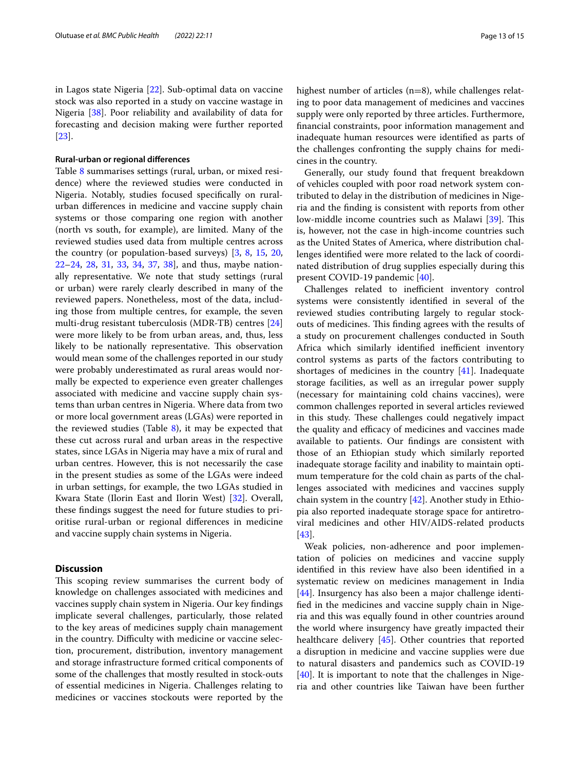in Lagos state Nigeria [[22\]](#page-14-8). Sub-optimal data on vaccine stock was also reported in a study on vaccine wastage in Nigeria [\[38\]](#page-14-24). Poor reliability and availability of data for forecasting and decision making were further reported [[23\]](#page-14-9).

#### **Rural‑urban or regional diferences**

Table [8](#page-11-0) summarises settings (rural, urban, or mixed residence) where the reviewed studies were conducted in Nigeria. Notably, studies focused specifcally on ruralurban diferences in medicine and vaccine supply chain systems or those comparing one region with another (north vs south, for example), are limited. Many of the reviewed studies used data from multiple centres across the country (or population-based surveys) [\[3,](#page-13-2) [8,](#page-13-11) [15,](#page-14-1) [20](#page-14-6), [22](#page-14-8)[–24](#page-14-12), [28](#page-14-14), [31](#page-14-17), [33](#page-14-19), [34,](#page-14-20) [37,](#page-14-23) [38\]](#page-14-24), and thus, maybe nationally representative. We note that study settings (rural or urban) were rarely clearly described in many of the reviewed papers. Nonetheless, most of the data, including those from multiple centres, for example, the seven multi-drug resistant tuberculosis (MDR-TB) centres [[24](#page-14-12)] were more likely to be from urban areas, and, thus, less likely to be nationally representative. This observation would mean some of the challenges reported in our study were probably underestimated as rural areas would normally be expected to experience even greater challenges associated with medicine and vaccine supply chain systems than urban centres in Nigeria. Where data from two or more local government areas (LGAs) were reported in the reviewed studies (Table  $8$ ), it may be expected that these cut across rural and urban areas in the respective states, since LGAs in Nigeria may have a mix of rural and urban centres. However, this is not necessarily the case in the present studies as some of the LGAs were indeed in urban settings, for example, the two LGAs studied in Kwara State (Ilorin East and Ilorin West) [[32\]](#page-14-18). Overall, these fndings suggest the need for future studies to prioritise rural-urban or regional diferences in medicine and vaccine supply chain systems in Nigeria.

#### **Discussion**

This scoping review summarises the current body of knowledge on challenges associated with medicines and vaccines supply chain system in Nigeria. Our key fndings implicate several challenges, particularly, those related to the key areas of medicines supply chain management in the country. Difficulty with medicine or vaccine selection, procurement, distribution, inventory management and storage infrastructure formed critical components of some of the challenges that mostly resulted in stock-outs of essential medicines in Nigeria. Challenges relating to medicines or vaccines stockouts were reported by the highest number of articles (n=8), while challenges relating to poor data management of medicines and vaccines supply were only reported by three articles. Furthermore, fnancial constraints, poor information management and inadequate human resources were identifed as parts of the challenges confronting the supply chains for medicines in the country.

Generally, our study found that frequent breakdown of vehicles coupled with poor road network system contributed to delay in the distribution of medicines in Nigeria and the fnding is consistent with reports from other low-middle income countries such as Malawi [\[39](#page-14-25)]. This is, however, not the case in high-income countries such as the United States of America, where distribution challenges identifed were more related to the lack of coordinated distribution of drug supplies especially during this present COVID-19 pandemic [[40\]](#page-14-26).

Challenges related to inefficient inventory control systems were consistently identifed in several of the reviewed studies contributing largely to regular stockouts of medicines. This finding agrees with the results of a study on procurement challenges conducted in South Africa which similarly identified inefficient inventory control systems as parts of the factors contributing to shortages of medicines in the country [[41](#page-14-27)]. Inadequate storage facilities, as well as an irregular power supply (necessary for maintaining cold chains vaccines), were common challenges reported in several articles reviewed in this study. These challenges could negatively impact the quality and efficacy of medicines and vaccines made available to patients. Our fndings are consistent with those of an Ethiopian study which similarly reported inadequate storage facility and inability to maintain optimum temperature for the cold chain as parts of the challenges associated with medicines and vaccines supply chain system in the country [[42\]](#page-14-28). Another study in Ethiopia also reported inadequate storage space for antiretroviral medicines and other HIV/AIDS-related products [[43\]](#page-14-29).

Weak policies, non-adherence and poor implementation of policies on medicines and vaccine supply identifed in this review have also been identifed in a systematic review on medicines management in India [[44\]](#page-14-30). Insurgency has also been a major challenge identifed in the medicines and vaccine supply chain in Nigeria and this was equally found in other countries around the world where insurgency have greatly impacted their healthcare delivery [[45](#page-14-31)]. Other countries that reported a disruption in medicine and vaccine supplies were due to natural disasters and pandemics such as COVID-19 [[40\]](#page-14-26). It is important to note that the challenges in Nigeria and other countries like Taiwan have been further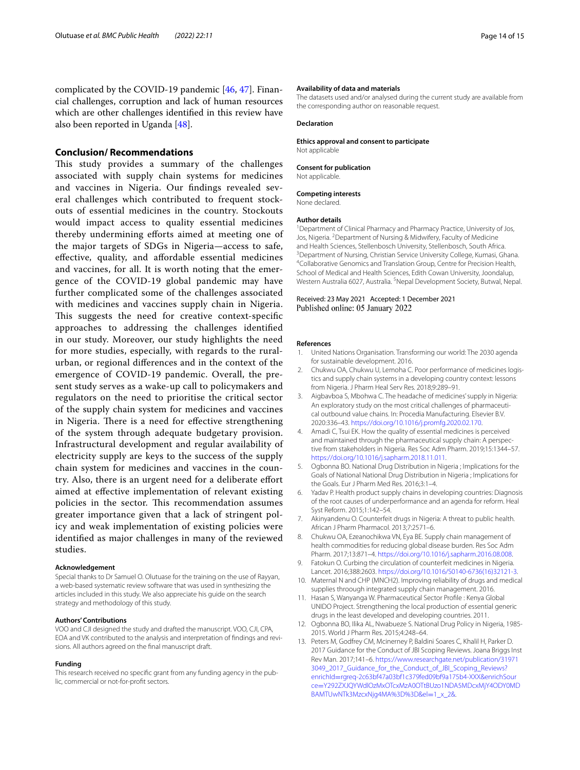complicated by the COVID-19 pandemic [\[46](#page-14-32), [47\]](#page-14-33). Financial challenges, corruption and lack of human resources which are other challenges identifed in this review have also been reported in Uganda [[48](#page-14-34)].

#### **Conclusion/ Recommendations**

This study provides a summary of the challenges associated with supply chain systems for medicines and vaccines in Nigeria. Our fndings revealed several challenges which contributed to frequent stockouts of essential medicines in the country. Stockouts would impact access to quality essential medicines thereby undermining eforts aimed at meeting one of the major targets of SDGs in Nigeria—access to safe, efective, quality, and afordable essential medicines and vaccines, for all. It is worth noting that the emergence of the COVID-19 global pandemic may have further complicated some of the challenges associated with medicines and vaccines supply chain in Nigeria. This suggests the need for creative context-specific approaches to addressing the challenges identifed in our study. Moreover, our study highlights the need for more studies, especially, with regards to the ruralurban, or regional diferences and in the context of the emergence of COVID-19 pandemic. Overall, the present study serves as a wake-up call to policymakers and regulators on the need to prioritise the critical sector of the supply chain system for medicines and vaccines in Nigeria. There is a need for effective strengthening of the system through adequate budgetary provision. Infrastructural development and regular availability of electricity supply are keys to the success of the supply chain system for medicines and vaccines in the country. Also, there is an urgent need for a deliberate efort aimed at efective implementation of relevant existing policies in the sector. This recommendation assumes greater importance given that a lack of stringent policy and weak implementation of existing policies were identifed as major challenges in many of the reviewed studies.

#### **Acknowledgement**

Special thanks to Dr Samuel O. Olutuase for the training on the use of Rayyan, a web-based systematic review software that was used in synthesizing the articles included in this study. We also appreciate his guide on the search strategy and methodology of this study.

#### **Authors' Contributions**

VOO and CJI designed the study and drafted the manuscript. VOO, CJI, CPA, EOA and VK contributed to the analysis and interpretation of fndings and revi‑ sions. All authors agreed on the fnal manuscript draft.

#### **Funding**

This research received no specific grant from any funding agency in the public, commercial or not-for-proft sectors.

#### **Availability of data and materials**

The datasets used and/or analysed during the current study are available from the corresponding author on reasonable request.

#### **Declaration**

**Ethics approval and consent to participate**

Not applicable

#### **Consent for publication**

Not applicable.

**Competing interests** None declared.

# **Author details**

<sup>1</sup> Department of Clinical Pharmacy and Pharmacy Practice, University of Jos, Jos, Nigeria. <sup>2</sup> Department of Nursing & Midwifery, Faculty of Medicine and Health Sciences, Stellenbosch University, Stellenbosch, South Africa. <sup>3</sup> Department of Nursing, Christian Service University College, Kumasi, Ghana. Collaborative Genomics and Translation Group, Centre for Precision Health, School of Medical and Health Sciences, Edith Cowan University, Joondalup, Western Australia 6027, Australia. <sup>5</sup> Nepal Development Society, Butwal, Nepal.

#### Received: 23 May 2021 Accepted: 1 December 2021 Published online: 05 January 2022

#### **References**

- <span id="page-13-0"></span>1. United Nations Organisation. Transforming our world: The 2030 agenda for sustainable development. 2016.
- <span id="page-13-1"></span>2. Chukwu OA, Chukwu U, Lemoha C. Poor performance of medicines logistics and supply chain systems in a developing country context: lessons from Nigeria. J Pharm Heal Serv Res. 2018;9:289–91.
- <span id="page-13-2"></span>3. Aigbavboa S, Mbohwa C. The headache of medicines' supply in Nigeria: An exploratory study on the most critical challenges of pharmaceutical outbound value chains. In: Procedia Manufacturing. Elsevier B.V. 2020:336–43. <https://doi.org/10.1016/j.promfg.2020.02.170>.
- <span id="page-13-3"></span>4. Amadi C, Tsui EK. How the quality of essential medicines is perceived and maintained through the pharmaceutical supply chain: A perspective from stakeholders in Nigeria. Res Soc Adm Pharm. 2019;15:1344–57. <https://doi.org/10.1016/j.sapharm.2018.11.011>.
- <span id="page-13-4"></span>5. Ogbonna BO. National Drug Distribution in Nigeria ; Implications for the Goals of National National Drug Distribution in Nigeria ; Implications for the Goals. Eur J Pharm Med Res. 2016;3:1–4.
- <span id="page-13-5"></span>6. Yadav P. Health product supply chains in developing countries: Diagnosis of the root causes of underperformance and an agenda for reform. Heal Syst Reform. 2015;1:142–54.
- <span id="page-13-6"></span>7. Akinyandenu O. Counterfeit drugs in Nigeria: A threat to public health. African J Pharm Pharmacol. 2013;7:2571–6.
- <span id="page-13-11"></span>8. Chukwu OA, Ezeanochikwa VN, Eya BE. Supply chain management of health commodities for reducing global disease burden. Res Soc Adm Pharm. 2017;13:871–4. [https://doi.org/10.1016/j.sapharm.2016.08.008.](https://doi.org/10.1016/j.sapharm.2016.08.008)
- <span id="page-13-9"></span>9. Fatokun O. Curbing the circulation of counterfeit medicines in Nigeria. Lancet. 2016;388:2603. [https://doi.org/10.1016/S0140-6736\(16\)32121-3.](https://doi.org/10.1016/S0140-6736(16)32121-3)
- 10. Maternal N and CHP (MNCH2). Improving reliability of drugs and medical supplies throough integrated supply chain management. 2016.
- <span id="page-13-7"></span>11. Hasan S, Wanyanga W. Pharmaceutical Sector Profle : Kenya Global UNIDO Project. Strengthening the local production of essential generic drugs in the least developed and developing countries. 2011.
- <span id="page-13-8"></span>12. Ogbonna BO, Ilika AL, Nwabueze S. National Drug Policy in Nigeria, 1985-2015. World J Pharm Res. 2015;4:248–64.
- <span id="page-13-10"></span>13. Peters M, Godfrey CM, Mcinerney P, Baldini Soares C, Khalil H, Parker D. 2017 Guidance for the Conduct of JBI Scoping Reviews. Joana Briggs Inst Rev Man. 2017;141–6. [https://www.researchgate.net/publication/31971](https://www.researchgate.net/publication/319713049_2017_Guidance_for_the_Conduct_of_JBI_Scoping_Reviews?enrichId=rgreq-2c63bf47a03bf1c379fed09bf9a175b4-XXX&enrichSource=Y292ZXJQYWdlOzMxOTcxMzA0OTtBUzo1NDA5MDcxMjY4ODY0MDBAMTUwNTk3MzcxNjg4MA%3D%3D&el=1_x_2&) [3049\\_2017\\_Guidance\\_for\\_the\\_Conduct\\_of\\_JBI\\_Scoping\\_Reviews?](https://www.researchgate.net/publication/319713049_2017_Guidance_for_the_Conduct_of_JBI_Scoping_Reviews?enrichId=rgreq-2c63bf47a03bf1c379fed09bf9a175b4-XXX&enrichSource=Y292ZXJQYWdlOzMxOTcxMzA0OTtBUzo1NDA5MDcxMjY4ODY0MDBAMTUwNTk3MzcxNjg4MA%3D%3D&el=1_x_2&) enrichId=[rgreq-2c63bf47a03bf1c379fed09bf9a175b4-XXX&enrichSour](https://www.researchgate.net/publication/319713049_2017_Guidance_for_the_Conduct_of_JBI_Scoping_Reviews?enrichId=rgreq-2c63bf47a03bf1c379fed09bf9a175b4-XXX&enrichSource=Y292ZXJQYWdlOzMxOTcxMzA0OTtBUzo1NDA5MDcxMjY4ODY0MDBAMTUwNTk3MzcxNjg4MA%3D%3D&el=1_x_2&) ce=[Y292ZXJQYWdlOzMxOTcxMzA0OTtBUzo1NDA5MDcxMjY4ODY0MD](https://www.researchgate.net/publication/319713049_2017_Guidance_for_the_Conduct_of_JBI_Scoping_Reviews?enrichId=rgreq-2c63bf47a03bf1c379fed09bf9a175b4-XXX&enrichSource=Y292ZXJQYWdlOzMxOTcxMzA0OTtBUzo1NDA5MDcxMjY4ODY0MDBAMTUwNTk3MzcxNjg4MA%3D%3D&el=1_x_2&) [BAMTUwNTk3MzcxNjg4MA%3D%3D&el](https://www.researchgate.net/publication/319713049_2017_Guidance_for_the_Conduct_of_JBI_Scoping_Reviews?enrichId=rgreq-2c63bf47a03bf1c379fed09bf9a175b4-XXX&enrichSource=Y292ZXJQYWdlOzMxOTcxMzA0OTtBUzo1NDA5MDcxMjY4ODY0MDBAMTUwNTk3MzcxNjg4MA%3D%3D&el=1_x_2&)=1\_x\_2&.